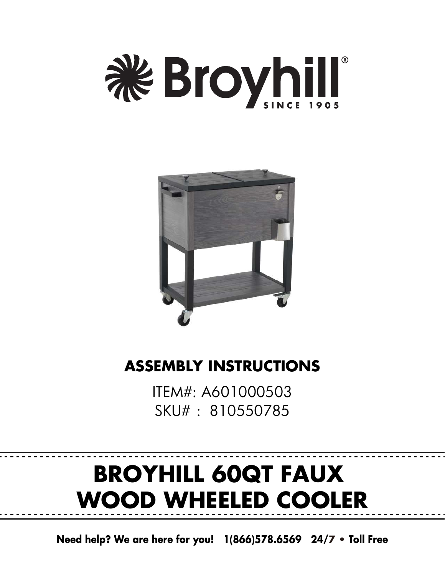



### **ASSEMBLY INSTRUCTIONS**

ITEM#: A601000503 SKU#: 810550785

# **BROYHILL 60QT FAUX WOOD WHEELED COOLER**

**Need help? We are here for you! 1(866)578.6569 24/7 • Toll Free**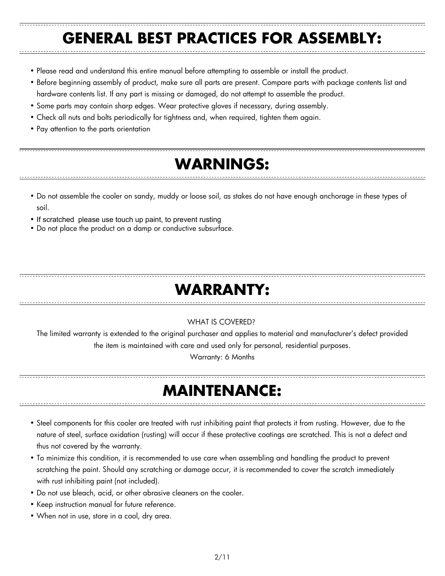### **GENERAL BEST PRACTICES FOR ASSEMBLY:**

- Please read and understand this entire manual before attempting to assemble or install the product.
- Before beginning assembly of product, make sure all parts are present. Compare parts with package contents list and
- hardware contents list. If any part is missing or damaged, do not attempt to assemble the product.
- Some parts may contain sharp edges. Wear protective gloves if necessary, during assembly.
- Check all nuts and bolts periodically for tightness and, when required, tighten them again.
- Pay attention to the parts orientation

### **WARNINGS:**

- Do not assemble the cooler on sandy, muddy or loose soil, as stakes do not have enough anchorage in these types of soil.
- If scratched please use touch up paint, to prevent rusting
- Do not place the product on a damp or conductive subsurface.

### **WARRANTY:**

### WHAT IS COVERED?

The limited warranty is extended to the original purchaser and applies to material and manufacturer's defect provided the item is maintained with care and used only for personal, residential purposes.

Warranty: 6 Months

### **MAINTENANCE:**

- Steel components for this cooler are treated with rust inhibiting paint that protects it from rusting. However, due to the nature of steel, surface oxidation (rusting) will occur if these protective coatings are scratched. This is not a defect and thus not covered by the warranty.
- To minimize this condition, it is recommended to use care when assembling and handling the product to prevent scratching the paint. Should any scratching or damage occur, it is recommended to cover the scratch immediately with rust inhibiting paint (not included).
- Do not use bleach, acid, or other abrasive cleaners on the cooler.
- Keep instruction manual for future reference.
- When not in use, store in a cool, dry area.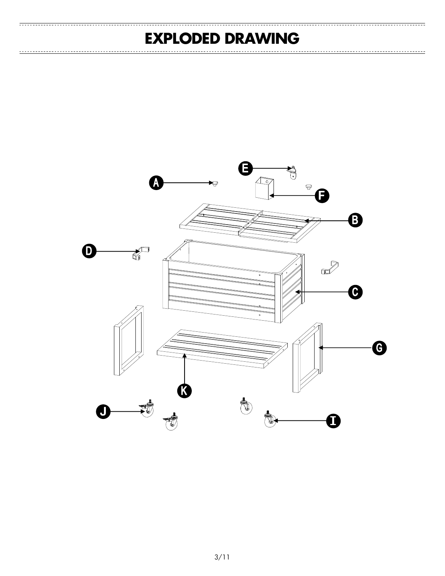### **EXPLODED DRAWING**

<del>. . . . . . . . . . . . . . . . . . .</del>

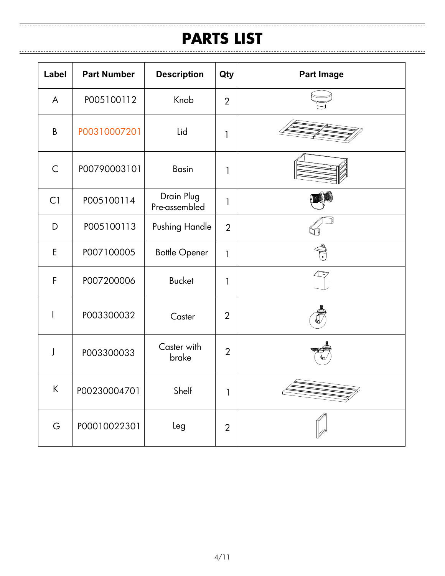#### **PARTS LIST**

| Label        | <b>Part Number</b> | <b>Description</b>          | Qty            | <b>Part Image</b> |
|--------------|--------------------|-----------------------------|----------------|-------------------|
| A            | P005100112         | Knob                        | $\overline{2}$ |                   |
| B            | P00310007201       | Lid                         | 1              |                   |
| $\mathsf{C}$ | P00790003101       | <b>Basin</b>                | $\mathbf{1}$   |                   |
| C1           | P005100114         | Drain Plug<br>Pre-assembled | $\mathbf{1}$   |                   |
| D            | P005100113         | Pushing Handle              | $\overline{2}$ |                   |
| E            | P007100005         | <b>Bottle Opener</b>        | $\mathsf{I}$   |                   |
| F            | P007200006         | <b>Bucket</b>               | $\mathbf{1}$   |                   |
| I            | P003300032         | Caster                      | $\overline{2}$ |                   |
| J            | P003300033         | Caster with<br>brake        | $\overline{2}$ |                   |
| К            | P00230004701       | Shelf                       | 1              |                   |
| G            | P00010022301       | Leg                         | $\overline{2}$ |                   |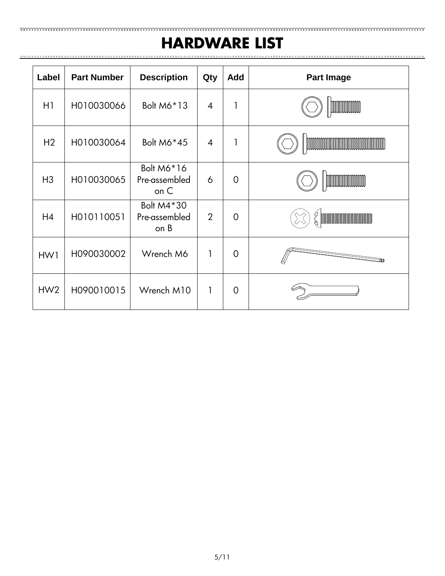### **HARDWARE LIST**

<u> ---------------------------</u>

| Label          | <b>Part Number</b> | <b>Description</b>                    | Qty            | <b>Add</b>     | Part Image                                                                              |  |
|----------------|--------------------|---------------------------------------|----------------|----------------|-----------------------------------------------------------------------------------------|--|
| H1             | H010030066         | Bolt M6*13                            | $\overline{4}$ |                | <b>MANAGEMENT</b>                                                                       |  |
| H <sub>2</sub> | H010030064         | Bolt M6*45                            | $\overline{4}$ |                | <b>COMMUNISTICATION AND RELEASED FOR THE RELEASED FOR THE RELEASED FOR THE RELEASED</b> |  |
| H <sub>3</sub> | H010030065         | Bolt M6*16<br>Pre-assembled<br>on C   | 6              | $\overline{0}$ | <b>MANAGEMENT STATE</b>                                                                 |  |
| H4             | H010110051         | Bolt M4 * 30<br>Pre-assembled<br>on B | $\overline{2}$ | $\overline{0}$ | <u> Manazarta Manazarta (</u>                                                           |  |
| HW1            | H090030002         | Wrench M6                             | 1              | $\overline{0}$ |                                                                                         |  |
| HW2            | H090010015         | Wrench M10                            | 1              | $\overline{0}$ |                                                                                         |  |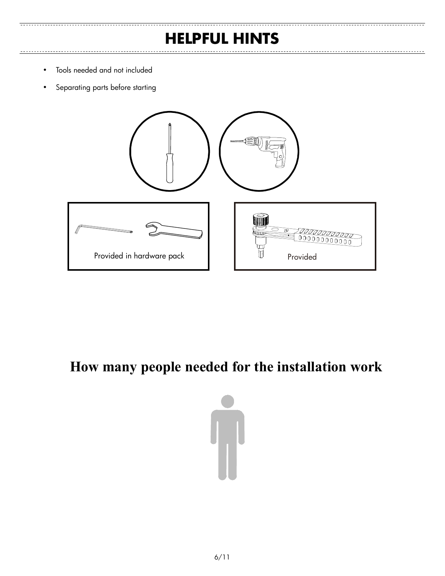### **HELPFUL HINTS**

- Tools needed and not included
- Separating parts before starting



### **How many people needed for the installation work**

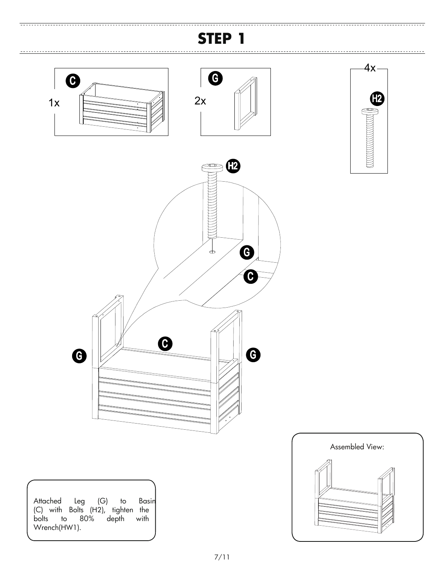

 $\overline{1}$ 





---------------------------------



Attached Leg (G) to Basin (C) with Bolts (H2), tighten the bolts to 80% depth with Wrench(HW1).

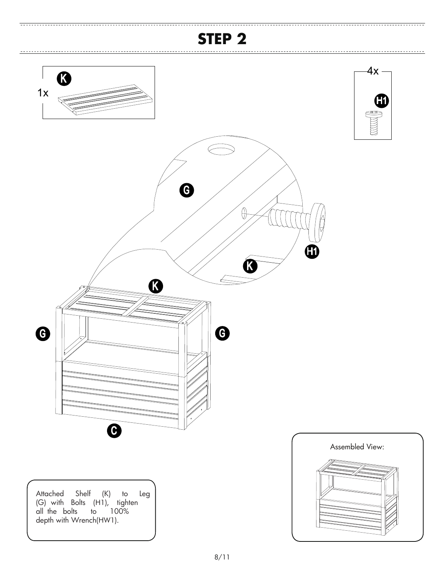--------------------------------

<del>. . . . . . . . . . . . . . . . .</del> .

 $\equiv$ 

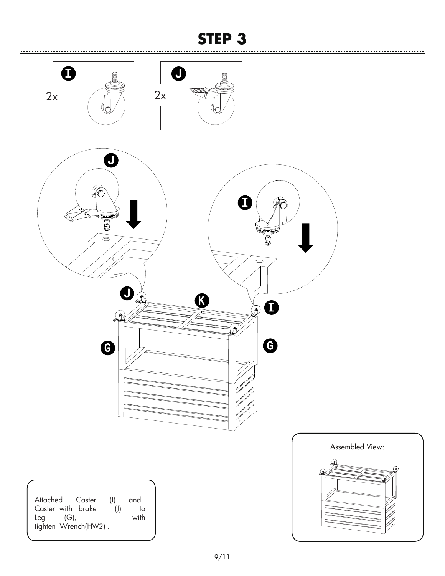

 $\equiv$ 

<del>. . . . . . . . . . . . .</del>





| Attached Caster      | (1)   | and  |
|----------------------|-------|------|
| Caster with brake    | $($ j | to   |
| Lea<br>$(G)$ ,       |       | with |
| tighten Wrench(HW2). |       |      |



<u>------------------------</u>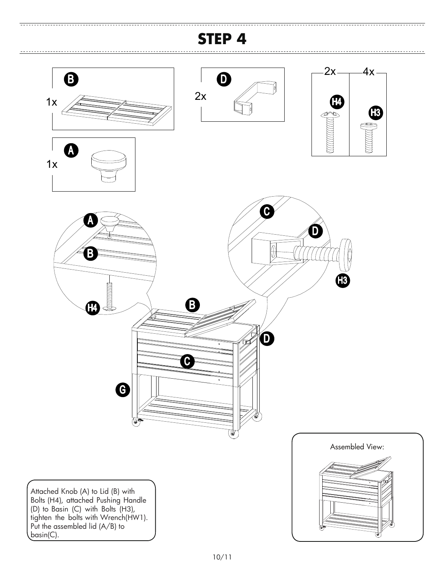